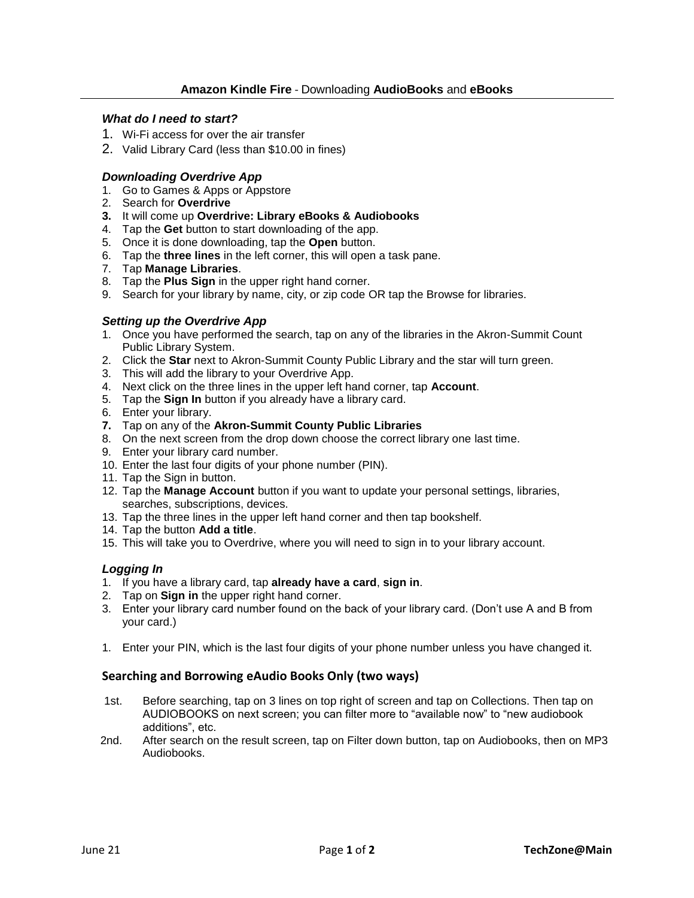#### *What do I need to start?*

- 1. Wi-Fi access for over the air transfer
- 2. Valid Library Card (less than \$10.00 in fines)

### *Downloading Overdrive App*

- 1. Go to Games & Apps or Appstore
- 2. Search for **Overdrive**
- **3.** It will come up **Overdrive: Library eBooks & Audiobooks**
- 4. Tap the **Get** button to start downloading of the app.
- 5. Once it is done downloading, tap the **Open** button.
- 6. Tap the **three lines** in the left corner, this will open a task pane.
- 7. Tap **Manage Libraries**.
- 8. Tap the **Plus Sign** in the upper right hand corner.
- 9. Search for your library by name, city, or zip code OR tap the Browse for libraries.

### *Setting up the Overdrive App*

- 1. Once you have performed the search, tap on any of the libraries in the Akron-Summit Count Public Library System.
- 2. Click the **Star** next to Akron-Summit County Public Library and the star will turn green.
- 3. This will add the library to your Overdrive App.
- 4. Next click on the three lines in the upper left hand corner, tap **Account**.
- 5. Tap the **Sign In** button if you already have a library card.
- 6. Enter your library.
- **7.** Tap on any of the **Akron-Summit County Public Libraries**
- 8. On the next screen from the drop down choose the correct library one last time.
- 9. Enter your library card number.
- 10. Enter the last four digits of your phone number (PIN).
- 11. Tap the Sign in button.
- 12. Tap the **Manage Account** button if you want to update your personal settings, libraries, searches, subscriptions, devices.
- 13. Tap the three lines in the upper left hand corner and then tap bookshelf.
- 14. Tap the button **Add a title**.
- 15. This will take you to Overdrive, where you will need to sign in to your library account.

## *Logging In*

- 1. If you have a library card, tap **already have a card**, **sign in**.
- 2. Tap on **Sign in** the upper right hand corner.
- 3. Enter your library card number found on the back of your library card. (Don't use A and B from your card.)
- 1. Enter your PIN, which is the last four digits of your phone number unless you have changed it.

## **Searching and Borrowing eAudio Books Only (two ways)**

- 1st. Before searching, tap on 3 lines on top right of screen and tap on Collections. Then tap on AUDIOBOOKS on next screen; you can filter more to "available now" to "new audiobook additions", etc.
- 2nd. After search on the result screen, tap on Filter down button, tap on Audiobooks, then on MP3 Audiobooks.